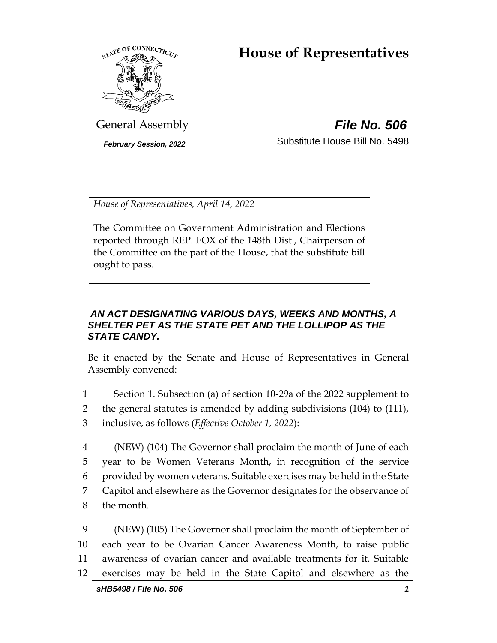# **House of Representatives**



General Assembly *File No. 506*

*February Session, 2022* Substitute House Bill No. 5498

*House of Representatives, April 14, 2022*

The Committee on Government Administration and Elections reported through REP. FOX of the 148th Dist., Chairperson of the Committee on the part of the House, that the substitute bill ought to pass.

## *AN ACT DESIGNATING VARIOUS DAYS, WEEKS AND MONTHS, A SHELTER PET AS THE STATE PET AND THE LOLLIPOP AS THE STATE CANDY.*

Be it enacted by the Senate and House of Representatives in General Assembly convened:

1 Section 1. Subsection (a) of section 10-29a of the 2022 supplement to 2 the general statutes is amended by adding subdivisions (104) to (111), 3 inclusive, as follows (*Effective October 1, 2022*):

 (NEW) (104) The Governor shall proclaim the month of June of each year to be Women Veterans Month, in recognition of the service provided by women veterans. Suitable exercises may be held in the State Capitol and elsewhere as the Governor designates for the observance of the month.

 (NEW) (105) The Governor shall proclaim the month of September of each year to be Ovarian Cancer Awareness Month, to raise public awareness of ovarian cancer and available treatments for it. Suitable exercises may be held in the State Capitol and elsewhere as the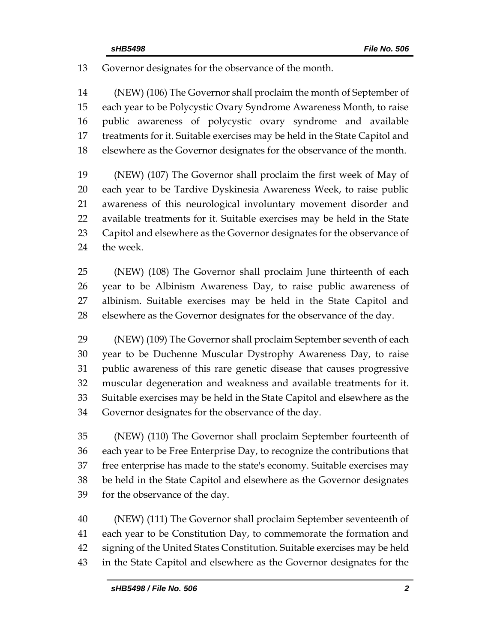Governor designates for the observance of the month.

 (NEW) (106) The Governor shall proclaim the month of September of each year to be Polycystic Ovary Syndrome Awareness Month, to raise public awareness of polycystic ovary syndrome and available treatments for it. Suitable exercises may be held in the State Capitol and elsewhere as the Governor designates for the observance of the month.

 (NEW) (107) The Governor shall proclaim the first week of May of each year to be Tardive Dyskinesia Awareness Week, to raise public awareness of this neurological involuntary movement disorder and available treatments for it. Suitable exercises may be held in the State Capitol and elsewhere as the Governor designates for the observance of the week.

 (NEW) (108) The Governor shall proclaim June thirteenth of each year to be Albinism Awareness Day, to raise public awareness of albinism. Suitable exercises may be held in the State Capitol and elsewhere as the Governor designates for the observance of the day.

 (NEW) (109) The Governor shall proclaim September seventh of each year to be Duchenne Muscular Dystrophy Awareness Day, to raise public awareness of this rare genetic disease that causes progressive muscular degeneration and weakness and available treatments for it. Suitable exercises may be held in the State Capitol and elsewhere as the Governor designates for the observance of the day.

 (NEW) (110) The Governor shall proclaim September fourteenth of each year to be Free Enterprise Day, to recognize the contributions that free enterprise has made to the state's economy. Suitable exercises may be held in the State Capitol and elsewhere as the Governor designates for the observance of the day.

 (NEW) (111) The Governor shall proclaim September seventeenth of each year to be Constitution Day, to commemorate the formation and signing of the United States Constitution. Suitable exercises may be held in the State Capitol and elsewhere as the Governor designates for the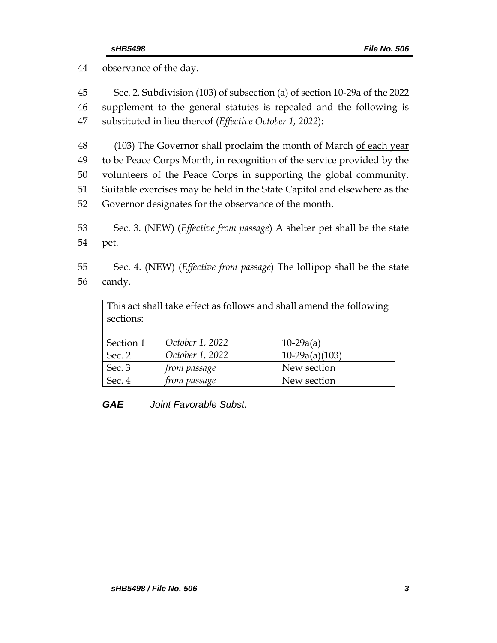44 observance of the day.

| 45 | Sec. 2. Subdivision (103) of subsection (a) of section 10-29a of the 2022        |
|----|----------------------------------------------------------------------------------|
| 46 | supplement to the general statutes is repealed and the following is              |
| 47 | substituted in lieu thereof (Effective October 1, 2022):                         |
| 48 | (103) The Governor shall proclaim the month of March of each year                |
| 49 | to be Peace Corps Month, in recognition of the service provided by the           |
| 50 | volunteers of the Peace Corps in supporting the global community.                |
| 51 | Suitable exercises may be held in the State Capitol and elsewhere as the         |
| 52 | Governor designates for the observance of the month.                             |
| 53 | Sec. 3. (NEW) ( <i>Effective from passage</i> ) A shelter pet shall be the state |
| 54 | pet.                                                                             |
| 55 | Sec. 4. (NEW) ( <i>Effective from passage</i> ) The lollipop shall be the state  |

56 candy.

This act shall take effect as follows and shall amend the following sections:

| Section 1 | October 1, 2022     | $10-29a(a)$      |
|-----------|---------------------|------------------|
| Sec. 2    | October 1, 2022     | $10-29a(a)(103)$ |
| Sec. 3    | <i>from passage</i> | New section      |
| Sec. 4    | <i>from passage</i> | New section      |

*GAE Joint Favorable Subst.*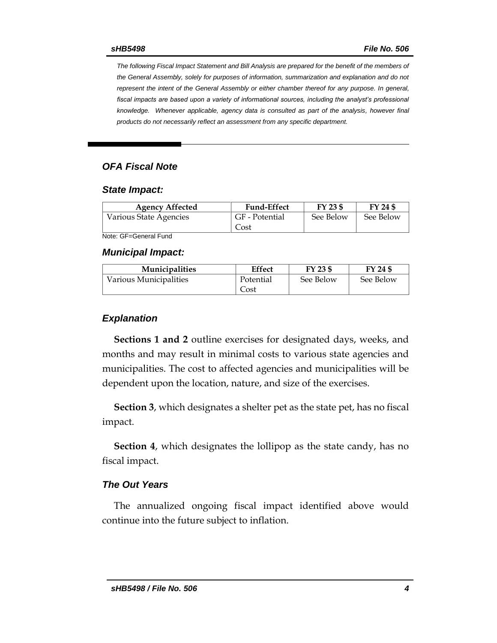*The following Fiscal Impact Statement and Bill Analysis are prepared for the benefit of the members of the General Assembly, solely for purposes of information, summarization and explanation and do not represent the intent of the General Assembly or either chamber thereof for any purpose. In general,*  fiscal impacts are based upon a variety of informational sources, including the analyst's professional *knowledge. Whenever applicable, agency data is consulted as part of the analysis, however final products do not necessarily reflect an assessment from any specific department.*

#### *OFA Fiscal Note*

#### *State Impact:*

| <b>Agency Affected</b> | <b>Fund-Effect</b>     | FY 23 \$  | FY 24 \$  |
|------------------------|------------------------|-----------|-----------|
| Various State Agencies | GF - Potential<br>Cost | See Below | See Below |

Note: GF=General Fund

*Municipal Impact:*

| <b>Municipalities</b>  | <b>Effect</b> | FY 23 \$  | FY 24 \$  |
|------------------------|---------------|-----------|-----------|
| Various Municipalities | Potential     | See Below | See Below |
|                        | Cost          |           |           |

#### *Explanation*

**Sections 1 and 2** outline exercises for designated days, weeks, and months and may result in minimal costs to various state agencies and municipalities. The cost to affected agencies and municipalities will be dependent upon the location, nature, and size of the exercises.

**Section 3**, which designates a shelter pet as the state pet, has no fiscal impact.

**Section 4**, which designates the lollipop as the state candy, has no fiscal impact.

#### *The Out Years*

The annualized ongoing fiscal impact identified above would continue into the future subject to inflation.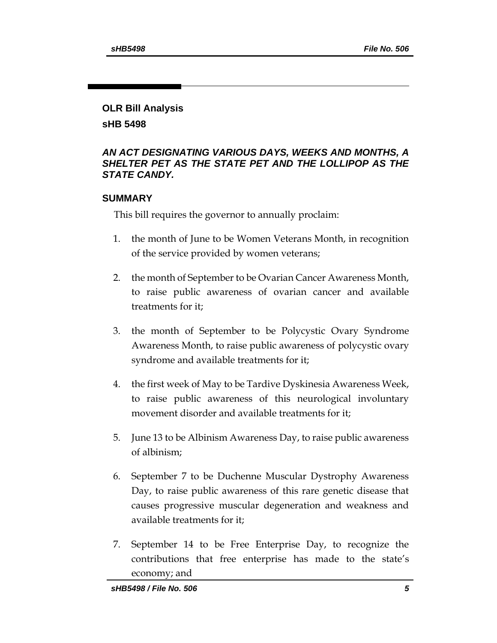## **OLR Bill Analysis**

**sHB 5498**

## *AN ACT DESIGNATING VARIOUS DAYS, WEEKS AND MONTHS, A SHELTER PET AS THE STATE PET AND THE LOLLIPOP AS THE STATE CANDY.*

## **SUMMARY**

This bill requires the governor to annually proclaim:

- 1. the month of June to be Women Veterans Month, in recognition of the service provided by women veterans;
- 2. the month of September to be Ovarian Cancer Awareness Month, to raise public awareness of ovarian cancer and available treatments for it;
- 3. the month of September to be Polycystic Ovary Syndrome Awareness Month, to raise public awareness of polycystic ovary syndrome and available treatments for it;
- 4. the first week of May to be Tardive Dyskinesia Awareness Week, to raise public awareness of this neurological involuntary movement disorder and available treatments for it;
- 5. June 13 to be Albinism Awareness Day, to raise public awareness of albinism;
- 6. September 7 to be Duchenne Muscular Dystrophy Awareness Day, to raise public awareness of this rare genetic disease that causes progressive muscular degeneration and weakness and available treatments for it;
- 7. September 14 to be Free Enterprise Day, to recognize the contributions that free enterprise has made to the state's economy; and